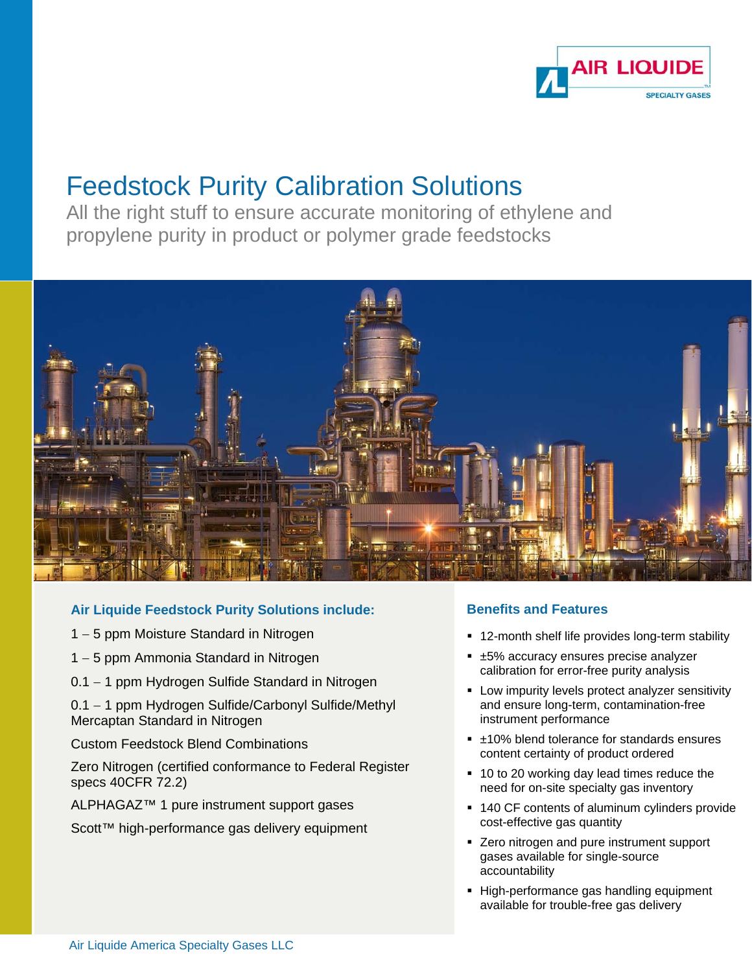

# Feedstock Purity Calibration Solutions

All the right stuff to ensure accurate monitoring of ethylene and propylene purity in product or polymer grade feedstocks



# **Air Liquide Feedstock Purity Solutions include:**

- 1 5 ppm Moisture Standard in Nitrogen
- 1 5 ppm Ammonia Standard in Nitrogen
- 0.1 1 ppm Hydrogen Sulfide Standard in Nitrogen

0.1 - 1 ppm Hydrogen Sulfide/Carbonyl Sulfide/Methyl Mercaptan Standard in Nitrogen

Custom Feedstock Blend Combinations

Zero Nitrogen (certified conformance to Federal Register specs 40CFR 72.2)

ALPHAGAZ<sup>™</sup> 1 pure instrument support gases

Scott™ high-performance gas delivery equipment

# **Benefits and Features**

- 12-month shelf life provides long-term stability
- ±5% accuracy ensures precise analyzer calibration for error-free purity analysis
- **EXECT:** Low impurity levels protect analyzer sensitivity and ensure long-term, contamination-free instrument performance
- ±10% blend tolerance for standards ensures content certainty of product ordered
- 10 to 20 working day lead times reduce the need for on-site specialty gas inventory
- 140 CF contents of aluminum cylinders provide cost-effective gas quantity
- **EXERG** 2 Tero nitrogen and pure instrument support gases available for single-source accountability
- **High-performance gas handling equipment** available for trouble-free gas delivery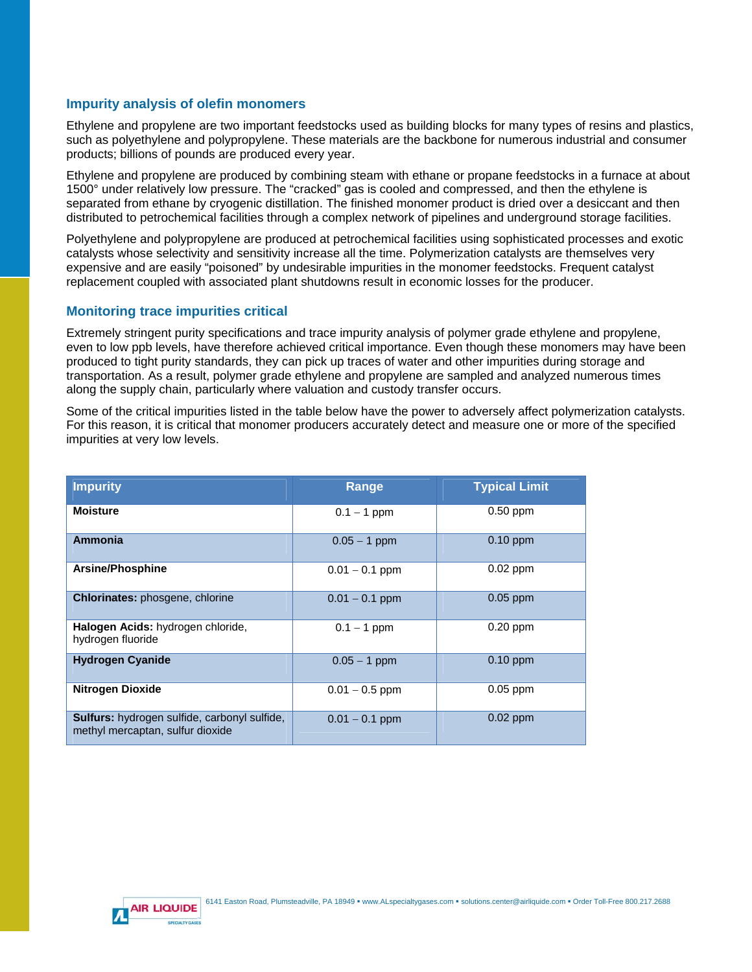## **Impurity analysis of olefin monomers**

Ethylene and propylene are two important feedstocks used as building blocks for many types of resins and plastics, such as polyethylene and polypropylene. These materials are the backbone for numerous industrial and consumer products; billions of pounds are produced every year.

Ethylene and propylene are produced by combining steam with ethane or propane feedstocks in a furnace at about 1500° under relatively low pressure. The "cracked" gas is cooled and compressed, and then the ethylene is separated from ethane by cryogenic distillation. The finished monomer product is dried over a desiccant and then distributed to petrochemical facilities through a complex network of pipelines and underground storage facilities.

Polyethylene and polypropylene are produced at petrochemical facilities using sophisticated processes and exotic catalysts whose selectivity and sensitivity increase all the time. Polymerization catalysts are themselves very expensive and are easily "poisoned" by undesirable impurities in the monomer feedstocks. Frequent catalyst replacement coupled with associated plant shutdowns result in economic losses for the producer.

### **Monitoring trace impurities critical**

Extremely stringent purity specifications and trace impurity analysis of polymer grade ethylene and propylene, even to low ppb levels, have therefore achieved critical importance. Even though these monomers may have been produced to tight purity standards, they can pick up traces of water and other impurities during storage and transportation. As a result, polymer grade ethylene and propylene are sampled and analyzed numerous times along the supply chain, particularly where valuation and custody transfer occurs.

Some of the critical impurities listed in the table below have the power to adversely affect polymerization catalysts. For this reason, it is critical that monomer producers accurately detect and measure one or more of the specified impurities at very low levels.

| <b>Impurity</b>                                                                         | Range            | <b>Typical Limit</b> |
|-----------------------------------------------------------------------------------------|------------------|----------------------|
| <b>Moisture</b>                                                                         | $0.1 - 1$ ppm    | $0.50$ ppm           |
| Ammonia                                                                                 | $0.05 - 1$ ppm   | $0.10$ ppm           |
| Arsine/Phosphine                                                                        | $0.01 - 0.1$ ppm | $0.02$ ppm           |
| <b>Chlorinates:</b> phosgene, chlorine                                                  | $0.01 - 0.1$ ppm | $0.05$ ppm           |
| Halogen Acids: hydrogen chloride,<br>hydrogen fluoride                                  | $0.1 - 1$ ppm    | $0.20$ ppm           |
| <b>Hydrogen Cyanide</b>                                                                 | $0.05 - 1$ ppm   | $0.10$ ppm           |
| <b>Nitrogen Dioxide</b>                                                                 | $0.01 - 0.5$ ppm | $0.05$ ppm           |
| <b>Sulfurs:</b> hydrogen sulfide, carbonyl sulfide,<br>methyl mercaptan, sulfur dioxide | $0.01 - 0.1$ ppm | $0.02$ ppm           |

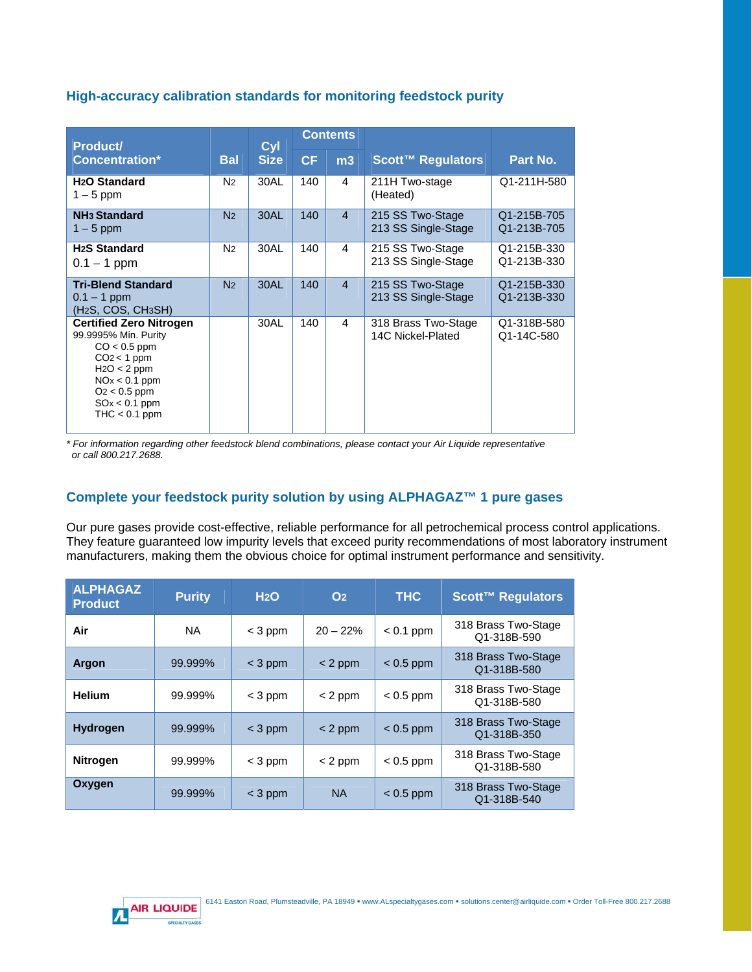# **High-accuracy calibration standards for monitoring feedstock purity**

| <b>Product/</b>                                                                                                                                                                       |                | Cyl         | <b>Contents</b> |                |                                          |                            |
|---------------------------------------------------------------------------------------------------------------------------------------------------------------------------------------|----------------|-------------|-----------------|----------------|------------------------------------------|----------------------------|
| <b>Concentration*</b>                                                                                                                                                                 | <b>Bal</b>     | <b>Size</b> | CF              | m3             | Scott™ Regulators                        | Part No.                   |
| H <sub>2</sub> O Standard<br>$1-5$ ppm                                                                                                                                                | N <sub>2</sub> | 30AL        | 140             | 4              | 211H Two-stage<br>(Heated)               | Q1-211H-580                |
| <b>NH<sub>3</sub></b> Standard<br>$1-5$ ppm                                                                                                                                           | N <sub>2</sub> | 30AL        | 140             | $\overline{4}$ | 215 SS Two-Stage<br>213 SS Single-Stage  | Q1-215B-705<br>Q1-213B-705 |
| <b>H<sub>2</sub>S</b> Standard<br>$0.1 - 1$ ppm                                                                                                                                       | N <sub>2</sub> | 30AL        | 140             | 4              | 215 SS Two-Stage<br>213 SS Single-Stage  | Q1-215B-330<br>Q1-213B-330 |
| <b>Tri-Blend Standard</b><br>$0.1 - 1$ ppm<br>(H <sub>2</sub> S, COS, CH <sub>3</sub> SH)                                                                                             | N <sub>2</sub> | 30AL        | 140             | $\overline{4}$ | 215 SS Two-Stage<br>213 SS Single-Stage  | Q1-215B-330<br>Q1-213B-330 |
| <b>Certified Zero Nitrogen</b><br>99.9995% Min. Purity<br>$CO < 0.5$ ppm<br>$CO2 < 1$ ppm<br>$H2O < 2$ ppm<br>$NOx < 0.1$ ppm<br>$O2 < 0.5$ ppm<br>$SOx < 0.1$ ppm<br>$THC < 0.1$ ppm |                | 30AL        | 140             | 4              | 318 Brass Two-Stage<br>14C Nickel-Plated | Q1-318B-580<br>Q1-14C-580  |

*\* For information regarding other feedstock blend combinations, please contact your Air Liquide representative or call 800.217.2688.* 

# **Complete your feedstock purity solution by using ALPHAGAZ™ 1 pure gases**

Our pure gases provide cost-effective, reliable performance for all petrochemical process control applications. They feature guaranteed low impurity levels that exceed purity recommendations of most laboratory instrument manufacturers, making them the obvious choice for optimal instrument performance and sensitivity.

| <b>ALPHAGAZ</b><br><b>Product</b> | <b>Purity</b> | H <sub>2</sub> O | O <sub>2</sub> | <b>THC</b>  | <b>Scott™ Regulators</b>           |
|-----------------------------------|---------------|------------------|----------------|-------------|------------------------------------|
| Air                               | <b>NA</b>     | $<$ 3 ppm        | $20 - 22%$     | $< 0.1$ ppm | 318 Brass Two-Stage<br>Q1-318B-590 |
| <b>Argon</b>                      | 99.999%       | $<$ 3 ppm        | $<$ 2 ppm      | $< 0.5$ ppm | 318 Brass Two-Stage<br>Q1-318B-580 |
| <b>Helium</b>                     | 99.999%       | $<$ 3 ppm        | $< 2$ ppm      | $< 0.5$ ppm | 318 Brass Two-Stage<br>Q1-318B-580 |
| <b>Hydrogen</b>                   | 99.999%       | $<$ 3 ppm        | $< 2$ ppm      | $< 0.5$ ppm | 318 Brass Two-Stage<br>Q1-318B-350 |
| <b>Nitrogen</b>                   | 99.999%       | $<$ 3 ppm        | $< 2$ ppm      | $< 0.5$ ppm | 318 Brass Two-Stage<br>Q1-318B-580 |
| Oxygen                            | 99.999%       | $<$ 3 ppm        | <b>NA</b>      | $< 0.5$ ppm | 318 Brass Two-Stage<br>Q1-318B-540 |